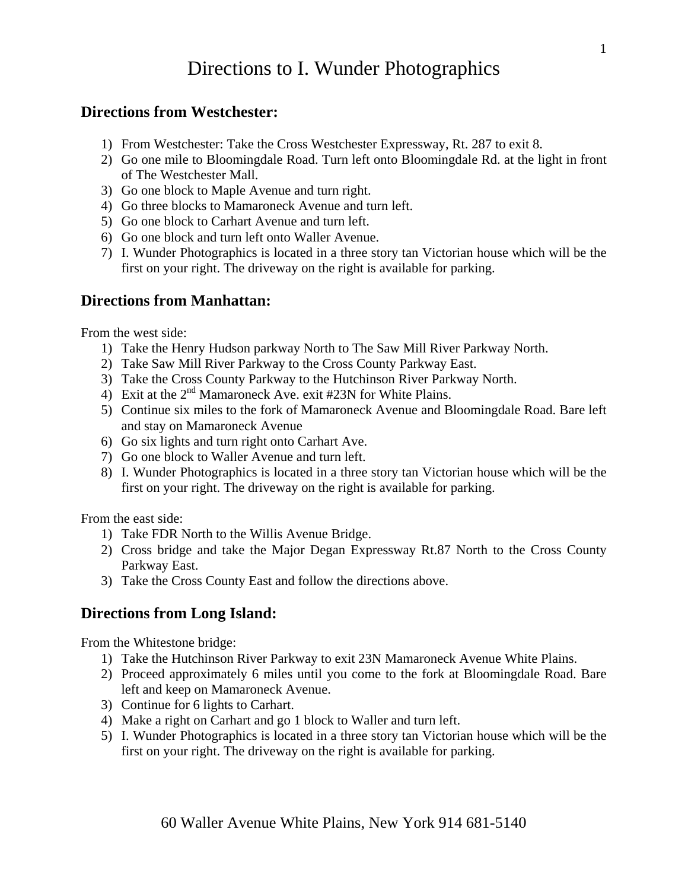## Directions to I. Wunder Photographics

## **Directions from Westchester:**

- 1) From Westchester: Take the Cross Westchester Expressway, Rt. 287 to exit 8.
- 2) Go one mile to Bloomingdale Road. Turn left onto Bloomingdale Rd. at the light in front of The Westchester Mall.
- 3) Go one block to Maple Avenue and turn right.
- 4) Go three blocks to Mamaroneck Avenue and turn left.
- 5) Go one block to Carhart Avenue and turn left.
- 6) Go one block and turn left onto Waller Avenue.
- 7) I. Wunder Photographics is located in a three story tan Victorian house which will be the first on your right. The driveway on the right is available for parking.

## **Directions from Manhattan:**

From the west side:

- 1) Take the Henry Hudson parkway North to The Saw Mill River Parkway North.
- 2) Take Saw Mill River Parkway to the Cross County Parkway East.
- 3) Take the Cross County Parkway to the Hutchinson River Parkway North.
- 4) Exit at the  $2<sup>nd</sup>$  Mamaroneck Ave. exit #23N for White Plains.
- 5) Continue six miles to the fork of Mamaroneck Avenue and Bloomingdale Road. Bare left and stay on Mamaroneck Avenue
- 6) Go six lights and turn right onto Carhart Ave.
- 7) Go one block to Waller Avenue and turn left.
- 8) I. Wunder Photographics is located in a three story tan Victorian house which will be the first on your right. The driveway on the right is available for parking.

From the east side:

- 1) Take FDR North to the Willis Avenue Bridge.
- 2) Cross bridge and take the Major Degan Expressway Rt.87 North to the Cross County Parkway East.
- 3) Take the Cross County East and follow the directions above.

## **Directions from Long Island:**

From the Whitestone bridge:

- 1) Take the Hutchinson River Parkway to exit 23N Mamaroneck Avenue White Plains.
- 2) Proceed approximately 6 miles until you come to the fork at Bloomingdale Road. Bare left and keep on Mamaroneck Avenue.
- 3) Continue for 6 lights to Carhart.
- 4) Make a right on Carhart and go 1 block to Waller and turn left.
- 5) I. Wunder Photographics is located in a three story tan Victorian house which will be the first on your right. The driveway on the right is available for parking.